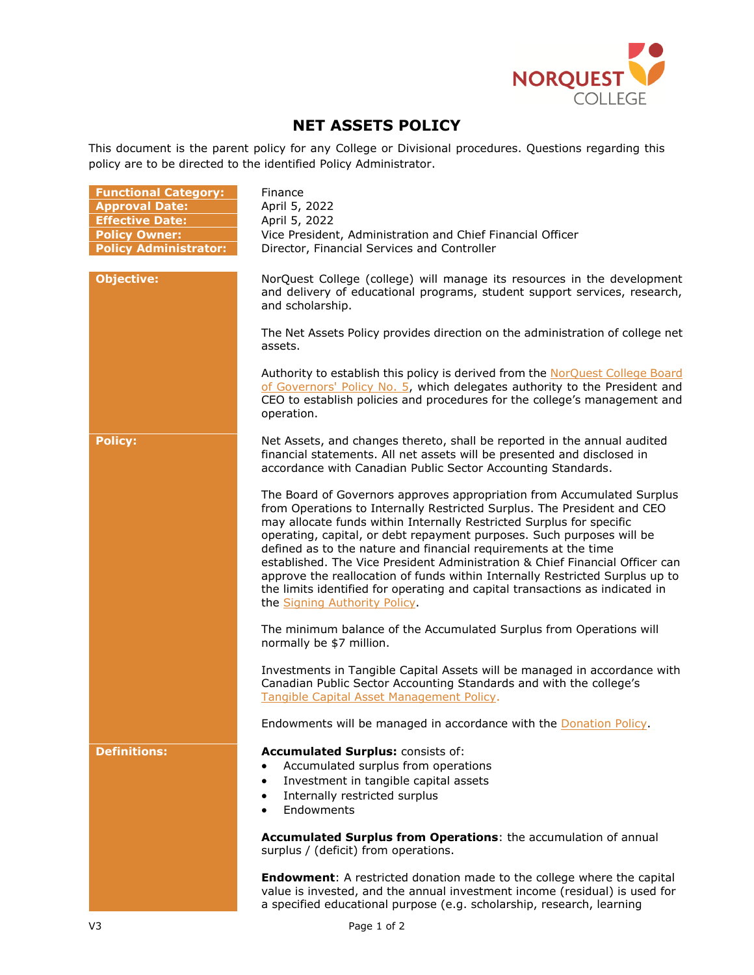

## **NET ASSETS POLICY**

This document is the parent policy for any College or Divisional procedures. Questions regarding this policy are to be directed to the identified Policy Administrator.

| <b>Functional Category:</b><br><b>Approval Date:</b><br><b>Effective Date:</b><br><b>Policy Owner:</b><br><b>Policy Administrator:</b> | Finance<br>April 5, 2022<br>April 5, 2022<br>Vice President, Administration and Chief Financial Officer<br>Director, Financial Services and Controller                                                                                                                                                                                                                                                                                                                                                                                                                                                                                                 |
|----------------------------------------------------------------------------------------------------------------------------------------|--------------------------------------------------------------------------------------------------------------------------------------------------------------------------------------------------------------------------------------------------------------------------------------------------------------------------------------------------------------------------------------------------------------------------------------------------------------------------------------------------------------------------------------------------------------------------------------------------------------------------------------------------------|
| <b>Objective:</b>                                                                                                                      | NorQuest College (college) will manage its resources in the development<br>and delivery of educational programs, student support services, research,<br>and scholarship.                                                                                                                                                                                                                                                                                                                                                                                                                                                                               |
|                                                                                                                                        | The Net Assets Policy provides direction on the administration of college net<br>assets.                                                                                                                                                                                                                                                                                                                                                                                                                                                                                                                                                               |
|                                                                                                                                        | Authority to establish this policy is derived from the NorQuest College Board<br>of Governors' Policy No. 5, which delegates authority to the President and<br>CEO to establish policies and procedures for the college's management and<br>operation.                                                                                                                                                                                                                                                                                                                                                                                                 |
| <b>Policy:</b>                                                                                                                         | Net Assets, and changes thereto, shall be reported in the annual audited<br>financial statements. All net assets will be presented and disclosed in<br>accordance with Canadian Public Sector Accounting Standards.                                                                                                                                                                                                                                                                                                                                                                                                                                    |
|                                                                                                                                        | The Board of Governors approves appropriation from Accumulated Surplus<br>from Operations to Internally Restricted Surplus. The President and CEO<br>may allocate funds within Internally Restricted Surplus for specific<br>operating, capital, or debt repayment purposes. Such purposes will be<br>defined as to the nature and financial requirements at the time<br>established. The Vice President Administration & Chief Financial Officer can<br>approve the reallocation of funds within Internally Restricted Surplus up to<br>the limits identified for operating and capital transactions as indicated in<br>the Signing Authority Policy. |
|                                                                                                                                        | The minimum balance of the Accumulated Surplus from Operations will<br>normally be \$7 million.                                                                                                                                                                                                                                                                                                                                                                                                                                                                                                                                                        |
|                                                                                                                                        | Investments in Tangible Capital Assets will be managed in accordance with<br>Canadian Public Sector Accounting Standards and with the college's<br>Tangible Capital Asset Management Policy.                                                                                                                                                                                                                                                                                                                                                                                                                                                           |
|                                                                                                                                        | Endowments will be managed in accordance with the Donation Policy.                                                                                                                                                                                                                                                                                                                                                                                                                                                                                                                                                                                     |
| <b>Definitions:</b>                                                                                                                    | Accumulated Surplus: consists of:<br>Accumulated surplus from operations<br>Investment in tangible capital assets<br>$\bullet$<br>Internally restricted surplus<br>$\bullet$<br>Endowments<br>Accumulated Surplus from Operations: the accumulation of annual                                                                                                                                                                                                                                                                                                                                                                                          |
|                                                                                                                                        | surplus / (deficit) from operations.<br><b>Endowment:</b> A restricted donation made to the college where the capital<br>value is invested, and the annual investment income (residual) is used for<br>a specified educational purpose (e.g. scholarship, research, learning                                                                                                                                                                                                                                                                                                                                                                           |